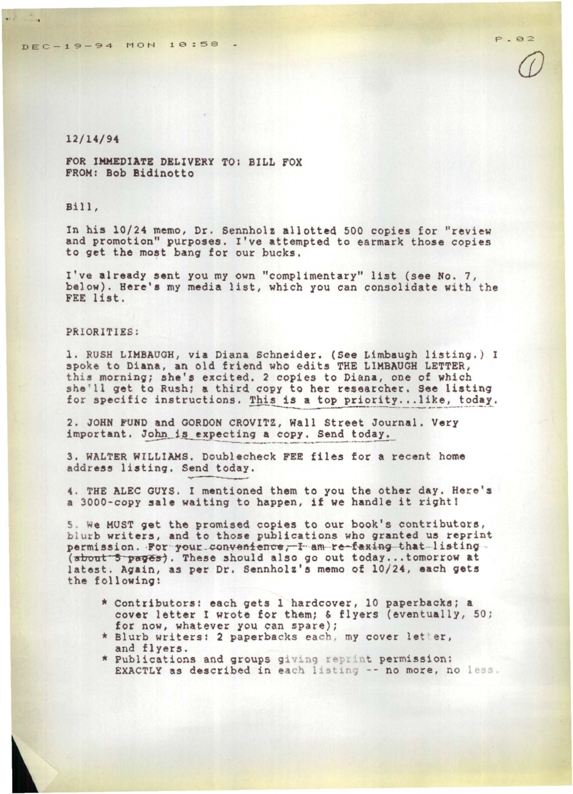*@* 

## 12/14/94

 $H_{\rm{max}}$ 

FOR IMMEDIATE DELIVERY TO: BILL FOX FROM: Bob Bidinotto

## Bill,

In his 10/24 memo, Dr. Sennholz allotted 500 copies for "review and promotion" purposes. I've attempted to earmark those copies to get the most bang for our bucks.

I've already sent you my own "complimentary" list (see No. 7, below). Here's my media list, which you can consolidate with the FEE list.

## PRIORITIES:

l. RUSH LIMBAUGH, via Diana Schneider. (See Limbaugh listin9. ) I spoke to Diana, an old friend who edits THE LIMBAUGH LETTER, this morning; &he's excited. 2 copies to Diana, one of which she'll get to Rush; a third copy to her researcher. See listing for specific instructions. This is a top priority...like, today.

2. JOHN FUND and GORDON CROVITZ, Wall Street Journal. Very important. John\_is expecting a copy. Send today.

3. WALTER WILLIAMS. Doublecheck FEE files for a recent home address listing. Send today.

4. THE ALEC GUYS. I mentioned them to you the other day. Here's a 3000-copy sale waiting to happen, if we handle it right!

5. We MUST get the promised copies to our book's contributors,<br>blurb writers, and to those publications who granted us reprint<br>permission. For your convenience, I am re-faxing that listing<br>(about 5 pages). These should als latest. Again, as per Dr. Sennholz's memo of 10/24, each gets the following:

- \* Contributors: each gets 1 hardcover, 10 paperbacks; a cover letter I wrote for them; & flyers (eventually, 50;<br>for now, whatever you can spare);
- \* Blurb writers: 2 paperbacks each, my cover letter, and flyers.
- \* Publications and groups giving reprint permission: EXACTLY as described in each listing -- no more, no less.